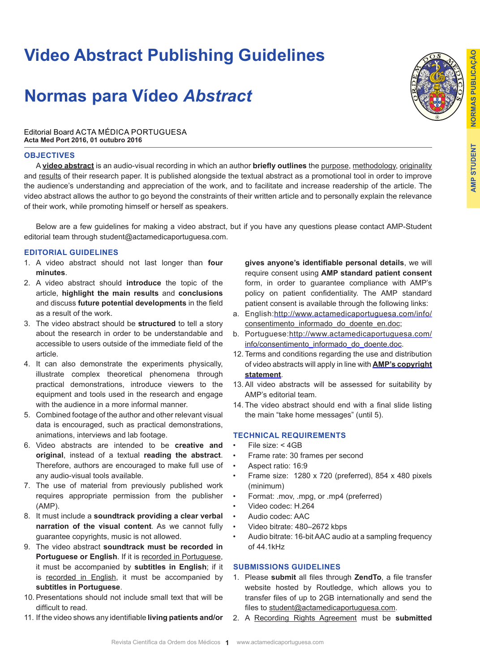# **Video Abstract Publishing Guidelines**

# **Normas para Vídeo** *Abstract*



Editorial Board ACTA MÉDICA PORTUGUESA **Acta Med Port 2016, 01 outubro 2016**

### **OBJECTIVES**

A **video abstract** is an audio-visual recording in which an author **briefly outlines** the purpose, methodology, originality and results of their research paper. It is published alongside the textual abstract as a promotional tool in order to improve the audience's understanding and appreciation of the work, and to facilitate and increase readership of the article. The video abstract allows the author to go beyond the constraints of their written article and to personally explain the relevance of their work, while promoting himself or herself as speakers.

Below are a few guidelines for making a video abstract, but if you have any questions please contact AMP-Student editorial team through student@actamedicaportuguesa.com.

#### **EDITORIAL GUIDELINES**

- 1. A video abstract should not last longer than **four minutes**.
- 2. A video abstract should **introduce** the topic of the article, **highlight the main results** and **conclusions** and discuss **future potential developments** in the field as a result of the work.
- 3. The video abstract should be **structured** to tell a story about the research in order to be understandable and accessible to users outside of the immediate field of the article.
- 4. It can also demonstrate the experiments physically, illustrate complex theoretical phenomena through practical demonstrations, introduce viewers to the equipment and tools used in the research and engage with the audience in a more informal manner.
- 5. Combined footage of the author and other relevant visual data is encouraged, such as practical demonstrations, animations, interviews and lab footage.
- 6. Video abstracts are intended to be **creative and original**, instead of a textual **reading the abstract**. Therefore, authors are encouraged to make full use of any audio-visual tools available.
- 7. The use of material from previously published work requires appropriate permission from the publisher (AMP).
- 8. It must include a **soundtrack providing a clear verbal narration of the visual content**. As we cannot fully guarantee copyrights, music is not allowed.
- 9. The video abstract **soundtrack must be recorded in Portuguese or English**. If it is recorded in Portuguese, it must be accompanied by **subtitles in English**; if it is recorded in English, it must be accompanied by **subtitles in Portuguese**.
- 10. Presentations should not include small text that will be difficult to read.
- 11. If the video shows any identifiable **living patients and/or**

**gives anyone's identifiable personal details**, we will require consent using **AMP standard patient consent** form, in order to guarantee compliance with AMP's policy on patient confidentiality. The AMP standard patient consent is available through the following links:

- a. English:http://www.actamedicaportuguesa.com/info/ consentimento\_informado\_do\_doente\_en.doc;
- b. Portuguese: http://www.actamedicaportuguesa.com/ info/consentimento\_informado\_do\_doente.doc.
- 12. Terms and conditions regarding the use and distribution of video abstracts will apply in line with **AMP's copyright statement**.
- 13. All video abstracts will be assessed for suitability by AMP's editorial team.
- 14. The video abstract should end with a final slide listing the main "take home messages" (until 5).

### **TECHNICAL REQUIREMENTS**

- File size: < 4GB
- Frame rate: 30 frames per second
- Aspect ratio: 16:9
- Frame size: 1280 x 720 (preferred), 854 x 480 pixels (minimum)
- Format: .mov, .mpg, or .mp4 (preferred)
- Video codec: H.264
- Audio codec: AAC
- Video bitrate: 480–2672 kbps
- Audio bitrate: 16-bit AAC audio at a sampling frequency of 44.1kHz

## **SUBMISSIONS GUIDELINES**

- 1. Please **submit** all files through **ZendTo**, a file transfer website hosted by Routledge, which allows you to transfer files of up to 2GB internationally and send the files to student@actamedicaportuguesa.com.
- 2. A Recording Rights Agreement must be **submitted**